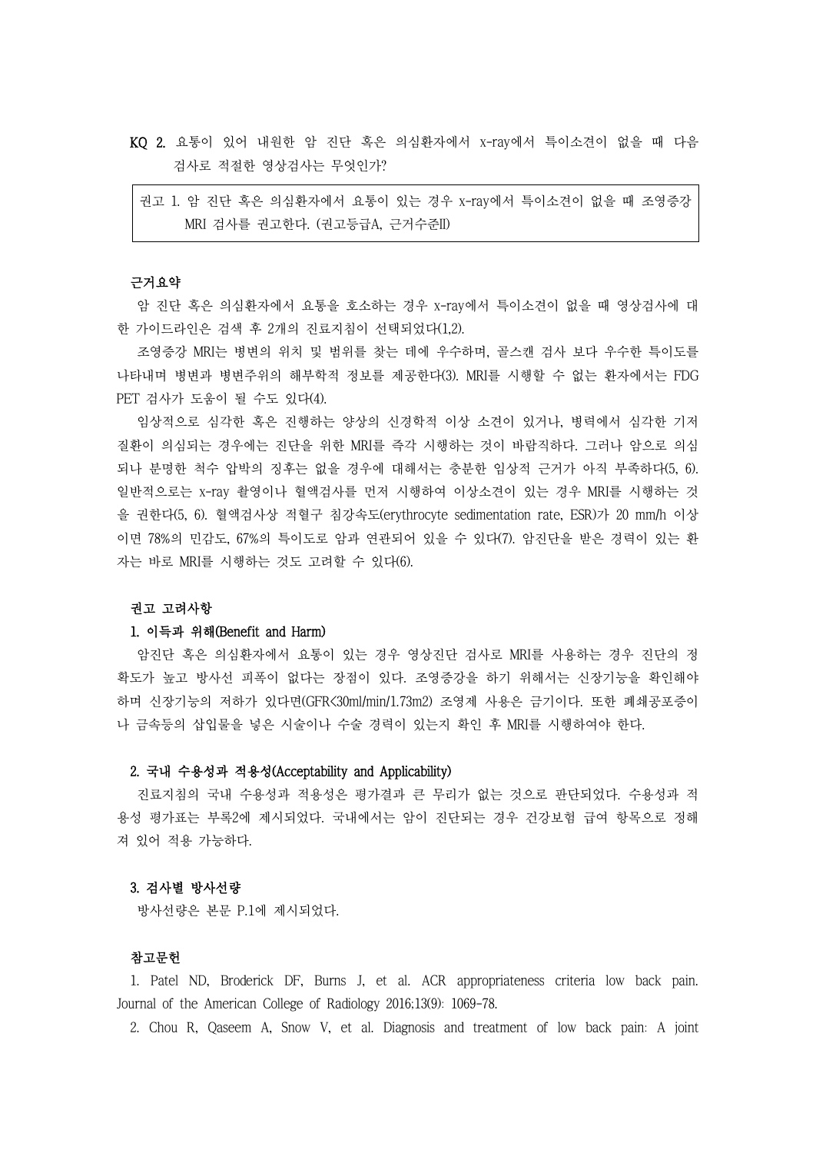- KQ 2. 요통이 있어 내원한 암 진단 혹은 의심환자에서 x-ray에서 특이소견이 없을 때 다음 검사로 적절한 영상검사는 무엇인가?
	- 권고 1. 암 진단 혹은 의심환자에서 요통이 있는 경우 x-ray에서 특이소견이 없을 때 조영증강 MRI 검사를 권고한다. (권고등급A, 근거수준II)

### 근거요약

암 진단 혹은 의심환자에서 요통을 호소하는 경우 x-ray에서 특이소견이 없을 때 영상검사에 대 한 가이드라인은 검색 후 2개의 진료지침이 선택되었다(1,2).

조영증강 MRI는 병변의 위치 및 범위를 찾는 데에 우수하며, 골스캔 검사 보다 우수한 특이도를 나타내며 병변과 병변주위의 해부학적 정보를 제공한다(3). MRI를 시행할 수 없는 환자에서는 FDG PET 검사가 도움이 될 수도 있다(4).

임상적으로 심각한 혹은 진행하는 양상의 신경학적 이상 소견이 있거나, 병력에서 심각한 기저 질환이 의심되는 경우에는 진단을 위한 MRI를 즉각 시행하는 것이 바람직하다. 그러나 암으로 의심 되나 분명한 척수 압박의 징후는 없을 경우에 대해서는 충분한 임상적 근거가 아직 부족하다(5, 6). 일반적으로는 x-ray 촬영이나 혈액검사를 먼저 시행하여 이상소견이 있는 경우 MRI를 시행하는 것 을 권한다(5, 6). 혈액검사상 적혈구 침강속도(erythrocyte sedimentation rate, ESR)가 20 mm/h 이상 이면 78%의 민감도, 67%의 특이도로 암과 연관되어 있을 수 있다(7). 암진단을 받은 경력이 있는 환 자는 바로 MRI를 시행하는 것도 고려할 수 있다(6).

# 권고 고려사항

### 1. 이득과 위해(Benefit and Harm)

암진단 혹은 의심환자에서 요통이 있는 경우 영상진단 검사로 MRI를 사용하는 경우 진단의 정 확도가 높고 방사선 피폭이 없다는 장점이 있다. 조영증강을 하기 위해서는 신장기능을 확인해야 하며 신장기능의 저하가 있다면(GFR<30ml/min/1.73m2) 조영제 사용은 금기이다. 또한 폐쇄공포증이 나 금속등의 삽입물을 넣은 시술이나 수술 경력이 있는지 확인 후 MRI를 시행하여야 한다.

#### 2. 국내 수용성과 적용성(Acceptability and Applicability)

진료지침의 국내 수용성과 적용성은 평가결과 큰 무리가 없는 것으로 판단되었다. 수용성과 적 용성 평가표는 부록2에 제시되었다. 국내에서는 암이 진단되는 경우 건강보험 급여 항목으로 정해 져 있어 적용 가능하다.

#### 3. 검사별 방사선량

방사선량은 본문 P.1에 제시되었다.

## 참고문헌

1. Patel ND, Broderick DF, Burns J, et al. ACR appropriateness criteria low back pain. Journal of the American College of Radiology 2016;13(9): 1069-78.

2. Chou R, Qaseem A, Snow V, et al. Diagnosis and treatment of low back pain: A joint